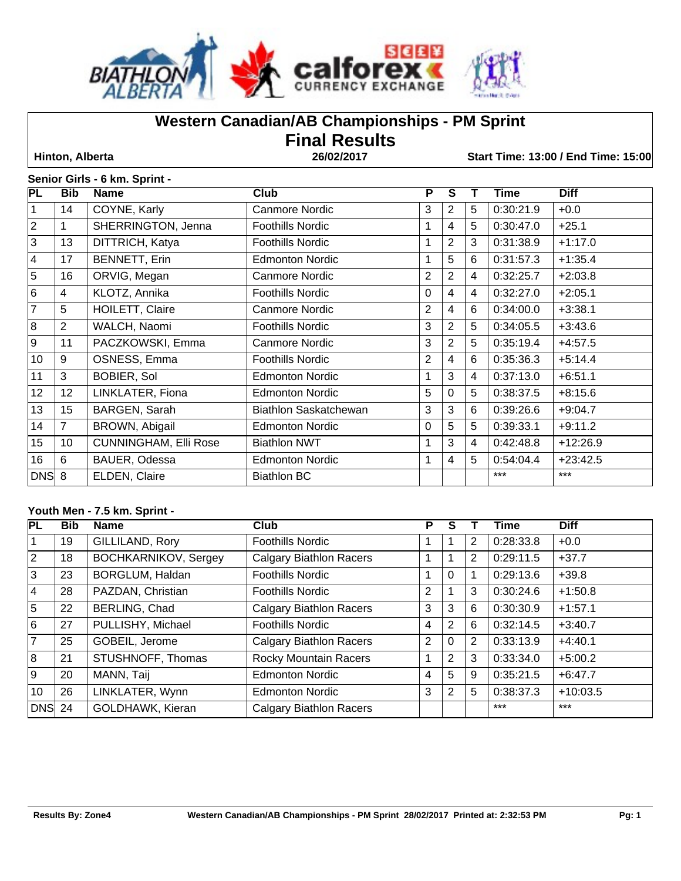

# **Western Canadian/AB Championships - PM Sprint**

**Final Results** 

 **Hinton, Alberta 26/02/2017 Start Time: 13:00 / End Time: 15:00**

## **Senior Girls - 6 km. Sprint -**

| <b>PL</b>      | <b>Bib</b>      | <b>Name</b>                  | <b>Club</b>             | P              | S              |                | Time      | <b>Diff</b> |
|----------------|-----------------|------------------------------|-------------------------|----------------|----------------|----------------|-----------|-------------|
|                | 14              | COYNE, Karly                 | <b>Canmore Nordic</b>   | 3              | 2              | 5              | 0:30:21.9 | $+0.0$      |
| $\overline{2}$ | 1               | SHERRINGTON, Jenna           | <b>Foothills Nordic</b> | $\mathbf{1}$   | 4              | 5              | 0:30:47.0 | $+25.1$     |
| 3              | 13              | DITTRICH, Katya              | <b>Foothills Nordic</b> | 1              | 2              | 3              | 0:31:38.9 | $+1:17.0$   |
| 4              | 17              | <b>BENNETT, Erin</b>         | <b>Edmonton Nordic</b>  | $\mathbf{1}$   | 5              | 6              | 0:31:57.3 | $+1:35.4$   |
| 5              | 16              | ORVIG, Megan                 | <b>Canmore Nordic</b>   | $\overline{2}$ | $\overline{2}$ | $\overline{4}$ | 0:32:25.7 | $+2:03.8$   |
| 6              | 4               | KLOTZ, Annika                | <b>Foothills Nordic</b> | $\Omega$       | 4              | $\overline{4}$ | 0:32:27.0 | $+2:05.1$   |
| 7              | 5               | HOILETT, Claire              | <b>Canmore Nordic</b>   | $\overline{2}$ | 4              | 6              | 0:34:00.0 | $+3:38.1$   |
| 8              | 2               | WALCH, Naomi                 | <b>Foothills Nordic</b> | 3              | 2              | 5              | 0:34:05.5 | $+3:43.6$   |
| 9              | 11              | PACZKOWSKI, Emma             | <b>Canmore Nordic</b>   | 3              | 2              | 5              | 0:35:19.4 | $+4:57.5$   |
| 10             | 9               | OSNESS, Emma                 | <b>Foothills Nordic</b> | $\overline{2}$ | 4              | 6              | 0:35:36.3 | $+5:14.4$   |
| 11             | 3               | <b>BOBIER, Sol</b>           | <b>Edmonton Nordic</b>  |                | 3              | 4              | 0:37:13.0 | $+6:51.1$   |
| 12             | 12              | LINKLATER, Fiona             | <b>Edmonton Nordic</b>  | 5              | 0              | 5              | 0:38:37.5 | $+8:15.6$   |
| 13             | 15              | BARGEN, Sarah                | Biathlon Saskatchewan   | 3              | 3              | 6              | 0:39:26.6 | $+9:04.7$   |
| 14             | $\overline{7}$  | BROWN, Abigail               | <b>Edmonton Nordic</b>  | 0              | 5              | 5              | 0:39:33.1 | $+9:11.2$   |
| 15             | 10              | <b>CUNNINGHAM, Elli Rose</b> | <b>Biathlon NWT</b>     |                | 3              | 4              | 0:42:48.8 | $+12:26.9$  |
| 16             | $6\phantom{1}6$ | BAUER, Odessa                | <b>Edmonton Nordic</b>  | 1              | 4              | 5              | 0:54:04.4 | $+23:42.5$  |
| DNS 8          |                 | ELDEN, Claire                | <b>Biathlon BC</b>      |                |                |                | $***$     | $***$       |

### **Youth Men - 7.5 km. Sprint -**

| PL             | <b>Bib</b> | <b>Name</b>                 | <b>Club</b>                    | P              | S              |                | Time      | <b>Diff</b> |
|----------------|------------|-----------------------------|--------------------------------|----------------|----------------|----------------|-----------|-------------|
|                | 19         | GILLILAND, Rory             | <b>Foothills Nordic</b>        |                |                | 2              | 0:28:33.8 | $+0.0$      |
| 2              | 18         | <b>BOCHKARNIKOV, Sergey</b> | <b>Calgary Biathlon Racers</b> | 1              |                | 2              | 0:29:11.5 | $+37.7$     |
| 3              | 23         | BORGLUM, Haldan             | <b>Foothills Nordic</b>        |                | 0              |                | 0:29:13.6 | $+39.8$     |
| 4              | 28         | PAZDAN, Christian           | <b>Foothills Nordic</b>        | $\overline{2}$ |                | 3              | 0:30:24.6 | $+1:50.8$   |
| 5              | 22         | BERLING, Chad               | <b>Calgary Biathlon Racers</b> | 3              | 3              | 6              | 0:30:30.9 | $+1:57.1$   |
| 6              | 27         | PULLISHY, Michael           | <b>Foothills Nordic</b>        | 4              | $\overline{2}$ | 6              | 0:32:14.5 | $+3:40.7$   |
| $\overline{7}$ | 25         | GOBEIL, Jerome              | <b>Calgary Biathlon Racers</b> | 2              | 0              | $\overline{2}$ | 0:33:13.9 | $+4:40.1$   |
| 8              | 21         | STUSHNOFF, Thomas           | <b>Rocky Mountain Racers</b>   | 1              | $\overline{2}$ | 3              | 0:33:34.0 | $+5:00.2$   |
| Ι9             | 20         | MANN, Taij                  | <b>Edmonton Nordic</b>         | 4              | 5              | 9              | 0:35:21.5 | $+6:47.7$   |
| 10             | 26         | LINKLATER, Wynn             | <b>Edmonton Nordic</b>         | 3              | $\overline{2}$ | 5              | 0:38:37.3 | $+10:03.5$  |
| $DNS$ 24       |            | GOLDHAWK, Kieran            | <b>Calgary Biathlon Racers</b> |                |                |                | $***$     | $***$       |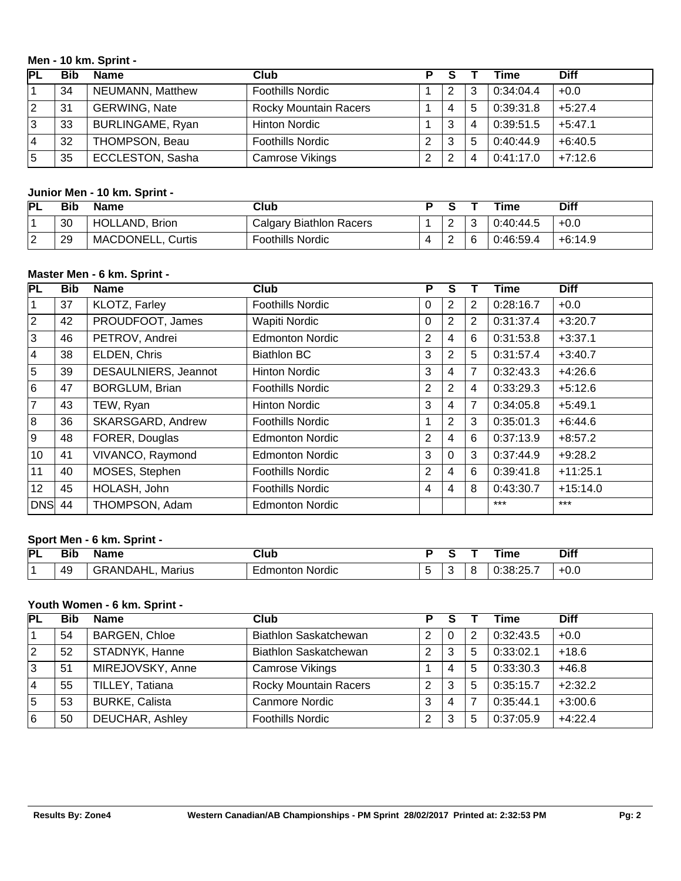## **Men - 10 km. Sprint -**

| PL | <b>Bib</b> | <b>Name</b>             | Club                         |   |   |   | Time      | <b>Diff</b> |
|----|------------|-------------------------|------------------------------|---|---|---|-----------|-------------|
|    | 34         | <b>NEUMANN, Matthew</b> | <b>Foothills Nordic</b>      |   |   | 3 | 0:34:04.4 | $+0.0$      |
| 2  | 31         | <b>GERWING, Nate</b>    | <b>Rocky Mountain Racers</b> |   | 4 | 5 | 0:39:31.8 | $+5:27.4$   |
| 3  | 33         | <b>BURLINGAME, Ryan</b> | Hinton Nordic                |   | 3 | 4 | 0:39:51.5 | $+5:47.1$   |
| 14 | 32         | THOMPSON, Beau          | <b>Foothills Nordic</b>      | ົ | 3 | 5 | 0:40:44.9 | $+6:40.5$   |
| 5  | 35         | <b>ECCLESTON, Sasha</b> | Camrose Vikings              |   | ⌒ |   | 0:41:17.0 | $+7:12.6$   |

# **Junior Men - 10 km. Sprint -**

| <b>PL</b>          | Bib | <b>Name</b>              | Club                    |          | Time      | <b>Diff</b> |
|--------------------|-----|--------------------------|-------------------------|----------|-----------|-------------|
|                    | 30  | HOLLAND, Brion           | Calgary Biathlon Racers | ∠        | 0:40:44.5 | $+0.0$      |
| $\sim$<br><u>_</u> | 29  | <b>MACDONELL, Curtis</b> | <b>Foothills Nordic</b> | <u>_</u> | 0:46:59.4 | $+6:14.9$   |

#### **Master Men - 6 km. Sprint -**

| PL              | <b>Bib</b> | <b>Name</b>           | Club                    | P              | S              |                | Time      | <b>Diff</b> |
|-----------------|------------|-----------------------|-------------------------|----------------|----------------|----------------|-----------|-------------|
| 1               | 37         | KLOTZ, Farley         | <b>Foothills Nordic</b> | 0              | 2              | 2              | 0:28:16.7 | $+0.0$      |
| $\overline{2}$  | 42         | PROUDFOOT, James      | Wapiti Nordic           | $\Omega$       | 2              | $\overline{2}$ | 0:31:37.4 | $+3:20.7$   |
| 3               | 46         | PETROV, Andrei        | <b>Edmonton Nordic</b>  | $\overline{2}$ | 4              | 6              | 0:31:53.8 | $+3:37.1$   |
| 4               | 38         | ELDEN, Chris          | <b>Biathlon BC</b>      | 3              | $\overline{2}$ | 5              | 0:31:57.4 | $+3:40.7$   |
| 5               | 39         | DESAULNIERS, Jeannot  | <b>Hinton Nordic</b>    | 3              | 4              | $\overline{7}$ | 0:32:43.3 | $+4:26.6$   |
| 6               | 47         | <b>BORGLUM, Brian</b> | <b>Foothills Nordic</b> | $\overline{2}$ | $\overline{2}$ | 4              | 0:33:29.3 | $+5:12.6$   |
| $\overline{7}$  | 43         | TEW, Ryan             | <b>Hinton Nordic</b>    | 3              | 4              | 7              | 0:34:05.8 | $+5:49.1$   |
| 8               | 36         | SKARSGARD, Andrew     | <b>Foothills Nordic</b> | 1              | $\overline{2}$ | 3              | 0:35:01.3 | $+6:44.6$   |
| 9               | 48         | FORER, Douglas        | <b>Edmonton Nordic</b>  | 2              | 4              | 6              | 0:37:13.9 | $+8:57.2$   |
| 10              | 41         | VIVANCO, Raymond      | <b>Edmonton Nordic</b>  | 3              | $\Omega$       | 3              | 0:37:44.9 | $+9:28.2$   |
| 11              | 40         | MOSES, Stephen        | <b>Foothills Nordic</b> | 2              | 4              | 6              | 0:39:41.8 | $+11:25.1$  |
| 12 <sup>2</sup> | 45         | HOLASH, John          | <b>Foothills Nordic</b> | 4              | 4              | 8              | 0:43:30.7 | $+15:14.0$  |
| <b>DNS</b> 44   |            | THOMPSON, Adam        | <b>Edmonton Nordic</b>  |                |                |                | $***$     | $***$       |

## **Sport Men - 6 km. Sprint -**

| PL | - - -<br>ы | -----                 | . в<br>nuu  |   | $\cdots$<br>шю        | <b>Diff</b> |
|----|------------|-----------------------|-------------|---|-----------------------|-------------|
|    | 49         | DAHL<br>ANI<br>Marius | Nordic<br>. | J | $\sim$ $-$<br>י<br>~∽ | −∪.∪        |

# **Youth Women - 6 km. Sprint -**

| <b>PL</b>   | <b>Bib</b> | <b>Name</b>            | <b>Club</b>                  |   |   |   | Time      | <b>Diff</b> |
|-------------|------------|------------------------|------------------------------|---|---|---|-----------|-------------|
|             | 54         | <b>BARGEN, Chloe</b>   | <b>Biathlon Saskatchewan</b> | 2 | 0 | 2 | 0:32:43.5 | $+0.0$      |
| $ 2\rangle$ | 52         | STADNYK, Hanne         | <b>Biathlon Saskatchewan</b> | 2 | 3 | 5 | 0:33:02.1 | $+18.6$     |
| 3           | 51         | MIREJOVSKY, Anne       | Camrose Vikings              |   | 4 | 5 | 0:33:30.3 | $+46.8$     |
| 14          | 55         | TILLEY, Tatiana        | <b>Rocky Mountain Racers</b> | 2 | 3 | 5 | 0:35:15.7 | $+2:32.2$   |
| 5           | 53         | <b>BURKE, Calista</b>  | Canmore Nordic               | 3 | 4 |   | 0:35:44.1 | $+3:00.6$   |
| 6           | 50         | <b>DEUCHAR, Ashley</b> | <b>Foothills Nordic</b>      | 2 | 3 | 5 | 0:37:05.9 | $+4:22.4$   |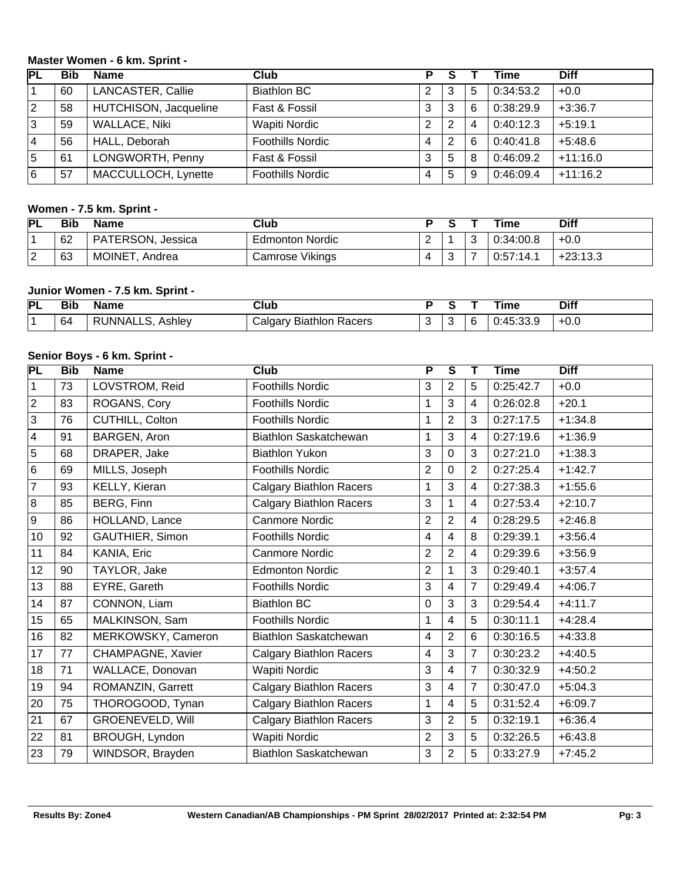### **Master Women - 6 km. Sprint -**

| РL          | Bib | <b>Name</b>              | Club                    | P.             |   |   | <b>Time</b> | <b>Diff</b> |
|-------------|-----|--------------------------|-------------------------|----------------|---|---|-------------|-------------|
| 1           | 60  | <b>LANCASTER, Callie</b> | <b>Biathlon BC</b>      | 2              | 3 | 5 | 0:34:53.2   | $+0.0$      |
| $ 2\rangle$ | 58  | HUTCHISON, Jacqueline    | Fast & Fossil           | 3              | 3 | 6 | 0:38:29.9   | $+3:36.7$   |
| 3           | 59  | <b>WALLACE, Niki</b>     | Wapiti Nordic           | 2              | 2 | 4 | 0:40:12.3   | $+5:19.1$   |
| 14          | 56  | HALL, Deborah            | <b>Foothills Nordic</b> | $\overline{4}$ | 2 | 6 | 0:40:41.8   | $+5:48.6$   |
| 5           | 61  | LONGWORTH, Penny         | Fast & Fossil           | 3              | 5 | 8 | 0:46:09.2   | $+11:16.0$  |
| l6          | 57  | MACCULLOCH, Lynette      | <b>Foothills Nordic</b> | 4              | 5 | 9 | 0:46:09.4   | $+11:16.2$  |

## **Women - 7.5 km. Sprint -**

| <b>PL</b> | <b>Bib</b> | <b>Name</b>       | Club                   |   |   | <b>Time</b> | Diff       |
|-----------|------------|-------------------|------------------------|---|---|-------------|------------|
|           | 62         | PATERSON, Jessica | <b>Edmonton Nordic</b> |   | ت | 0:34:00.8   | $+0.0$     |
| ⌒<br>▵    | 63         | MOINET, Andrea    | Camrose Vikings        | ◡ |   | 0:57:14.1   | $+23:13.3$ |

# **Junior Women - 7.5 km. Sprint -**

| <b>PL</b> | --<br>Bit | <b>Name</b>           | Jlub                                 |   |   | ⊺ıme                                             | <b>Diff</b> |
|-----------|-----------|-----------------------|--------------------------------------|---|---|--------------------------------------------------|-------------|
|           | 64        | ' RUNNALLS.<br>Ashlev | <b>Biathlon</b><br>Racers<br>شaldar∨ | u | ∽ | $\mathbf{u} \cdot \mathbf{v}$<br>- . JJ. J<br>u. | $+0.0$      |

### **Senior Boys - 6 km. Sprint -**

| PL             | <b>Bib</b> | <b>Name</b>             | Club                           | $\overline{P}$ | $\overline{\mathsf{s}}$ | Т              | <b>Time</b> | <b>Diff</b> |
|----------------|------------|-------------------------|--------------------------------|----------------|-------------------------|----------------|-------------|-------------|
| $\vert$ 1      | 73         | LOVSTROM, Reid          | <b>Foothills Nordic</b>        | 3              | $\overline{2}$          | 5              | 0:25:42.7   | $+0.0$      |
| $\vert$ 2      | 83         | ROGANS, Cory            | <b>Foothills Nordic</b>        | 1              | 3                       | 4              | 0:26:02.8   | $+20.1$     |
| $\overline{3}$ | 76         | <b>CUTHILL, Colton</b>  | <b>Foothills Nordic</b>        | 1              | $\overline{2}$          | 3              | 0:27:17.5   | $+1:34.8$   |
| $\vert$ 4      | 91         | BARGEN, Aron            | <b>Biathlon Saskatchewan</b>   | 1              | 3                       | 4              | 0:27:19.6   | $+1:36.9$   |
| 5              | 68         | DRAPER, Jake            | <b>Biathlon Yukon</b>          | 3              | 0                       | 3              | 0:27:21.0   | $+1:38.3$   |
| $\overline{6}$ | 69         | MILLS, Joseph           | <b>Foothills Nordic</b>        | $\overline{2}$ | 0                       | $\overline{2}$ | 0:27:25.4   | $+1:42.7$   |
| $\overline{7}$ | 93         | KELLY, Kieran           | <b>Calgary Biathlon Racers</b> | 1              | 3                       | 4              | 0:27:38.3   | $+1:55.6$   |
| $\overline{8}$ | 85         | BERG, Finn              | <b>Calgary Biathlon Racers</b> | 3              | 1                       | 4              | 0:27:53.4   | $+2:10.7$   |
| $\overline{9}$ | 86         | HOLLAND, Lance          | Canmore Nordic                 | $\overline{2}$ | $\overline{2}$          | 4              | 0:28:29.5   | $+2:46.8$   |
| 10             | 92         | GAUTHIER, Simon         | <b>Foothills Nordic</b>        | 4              | 4                       | 8              | 0:29:39.1   | $+3:56.4$   |
| 11             | 84         | KANIA, Eric             | <b>Canmore Nordic</b>          | $\overline{2}$ | $\overline{2}$          | 4              | 0:29:39.6   | $+3:56.9$   |
| 12             | 90         | TAYLOR, Jake            | <b>Edmonton Nordic</b>         | $\overline{2}$ | $\overline{1}$          | 3              | 0:29:40.1   | $+3:57.4$   |
| 13             | 88         | EYRE, Gareth            | <b>Foothills Nordic</b>        | 3              | 4                       | $\overline{7}$ | 0:29:49.4   | $+4:06.7$   |
| 14             | 87         | CONNON, Liam            | <b>Biathlon BC</b>             | 0              | 3                       | 3              | 0:29:54.4   | $+4:11.7$   |
| 15             | 65         | MALKINSON, Sam          | <b>Foothills Nordic</b>        | $\mathbf 1$    | 4                       | 5              | 0:30:11.1   | $+4:28.4$   |
| 16             | 82         | MERKOWSKY, Cameron      | Biathlon Saskatchewan          | 4              | $\overline{2}$          | 6              | 0:30:16.5   | $+4:33.8$   |
| 17             | 77         | CHAMPAGNE, Xavier       | <b>Calgary Biathlon Racers</b> | 4              | 3                       | 7              | 0:30:23.2   | $+4:40.5$   |
| 18             | 71         | WALLACE, Donovan        | <b>Wapiti Nordic</b>           | 3              | 4                       | $\overline{7}$ | 0:30:32.9   | $+4:50.2$   |
| 19             | 94         | ROMANZIN, Garrett       | <b>Calgary Biathlon Racers</b> | 3              | 4                       | $\overline{7}$ | 0:30:47.0   | $+5:04.3$   |
| 20             | 75         | THOROGOOD, Tynan        | <b>Calgary Biathlon Racers</b> | 1              | 4                       | 5              | 0:31:52.4   | $+6:09.7$   |
| 21             | 67         | <b>GROENEVELD, Will</b> | <b>Calgary Biathlon Racers</b> | 3              | $\overline{2}$          | 5              | 0:32:19.1   | $+6:36.4$   |
| 22             | 81         | BROUGH, Lyndon          | Wapiti Nordic                  | $\overline{2}$ | 3                       | 5              | 0:32:26.5   | $+6:43.8$   |
| 23             | 79         | WINDSOR, Brayden        | Biathlon Saskatchewan          | $\mathfrak{S}$ | $\overline{2}$          | 5              | 0:33:27.9   | $+7:45.2$   |